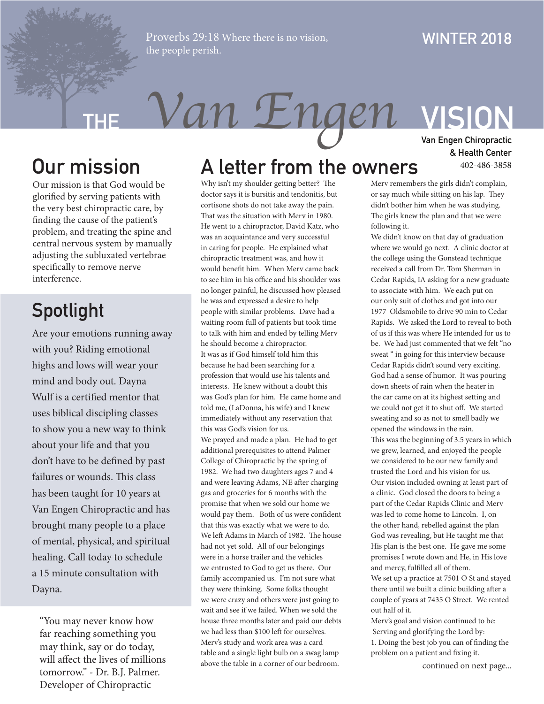Proverbs 29:18 Where there is no vision, the people perish.

#### **WINTER 2018**

# **THE** *Van Engen* **VISION**

Our mission is that God would be glorified by serving patients with the very best chiropractic care, by finding the cause of the patient's problem, and treating the spine and central nervous system by manually adjusting the subluxated vertebrae specifically to remove nerve interference.

### **Spotlight**

Are your emotions running away with you? Riding emotional highs and lows will wear your mind and body out. Dayna Wulf is a certified mentor that uses biblical discipling classes to show you a new way to think about your life and that you don't have to be defined by past failures or wounds. This class has been taught for 10 years at Van Engen Chiropractic and has brought many people to a place of mental, physical, and spiritual healing. Call today to schedule a 15 minute consultation with Dayna.

"You may never know how far reaching something you may think, say or do today, will affect the lives of millions tomorrow." - Dr. B.J. Palmer. Developer of Chiropractic

### **Our mission A letter from the owners**

Why isn't my shoulder getting better? The doctor says it is bursitis and tendonitis, but cortisone shots do not take away the pain. That was the situation with Merv in 1980. He went to a chiropractor, David Katz, who was an acquaintance and very successful in caring for people. He explained what chiropractic treatment was, and how it would benefit him. When Merv came back to see him in his office and his shoulder was no longer painful, he discussed how pleased he was and expressed a desire to help people with similar problems. Dave had a waiting room full of patients but took time to talk with him and ended by telling Merv he should become a chiropractor. It was as if God himself told him this because he had been searching for a profession that would use his talents and interests. He knew without a doubt this was God's plan for him. He came home and told me, (LaDonna, his wife) and I knew immediately without any reservation that this was God's vision for us. We prayed and made a plan. He had to get additional prerequisites to attend Palmer College of Chiropractic by the spring of 1982. We had two daughters ages 7 and 4 and were leaving Adams, NE after charging gas and groceries for 6 months with the promise that when we sold our home we would pay them. Both of us were confident that this was exactly what we were to do. We left Adams in March of 1982. The house had not yet sold. All of our belongings were in a horse trailer and the vehicles we entrusted to God to get us there. Our family accompanied us. I'm not sure what they were thinking. Some folks thought we were crazy and others were just going to wait and see if we failed. When we sold the house three months later and paid our debts we had less than \$100 left for ourselves. Merv's study and work area was a card table and a single light bulb on a swag lamp above the table in a corner of our bedroom.

**Van Engen Chiropractic & Health Center** 402-486-3858

Merv remembers the girls didn't complain, or say much while sitting on his lap. They didn't bother him when he was studying. The girls knew the plan and that we were following it.

We didn't know on that day of graduation where we would go next. A clinic doctor at the college using the Gonstead technique received a call from Dr. Tom Sherman in Cedar Rapids, IA asking for a new graduate to associate with him. We each put on our only suit of clothes and got into our 1977 Oldsmobile to drive 90 min to Cedar Rapids. We asked the Lord to reveal to both of us if this was where He intended for us to be. We had just commented that we felt "no sweat " in going for this interview because Cedar Rapids didn't sound very exciting. God had a sense of humor. It was pouring down sheets of rain when the heater in the car came on at its highest setting and we could not get it to shut off. We started sweating and so as not to smell badly we opened the windows in the rain. This was the beginning of 3.5 years in which we grew, learned, and enjoyed the people we considered to be our new family and trusted the Lord and his vision for us. Our vision included owning at least part of a clinic. God closed the doors to being a part of the Cedar Rapids Clinic and Merv was led to come home to Lincoln. I, on the other hand, rebelled against the plan God was revealing, but He taught me that His plan is the best one. He gave me some promises I wrote down and He, in His love and mercy, fulfilled all of them. We set up a practice at 7501 O St and stayed

there until we built a clinic building after a couple of years at 7435 O Street. We rented out half of it.

Merv's goal and vision continued to be: Serving and glorifying the Lord by: 1. Doing the best job you can of finding the problem on a patient and fixing it.

continued on next page...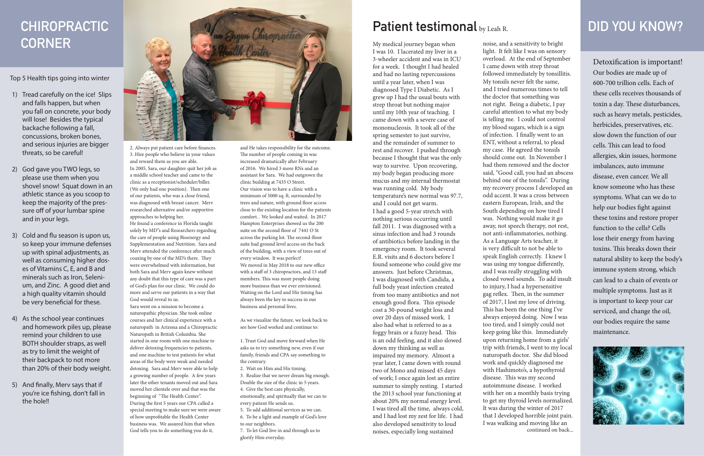2. Always put patient care before finances. 3. Hire people who believe in your values and reward them as you are able. In 2005, Sara, our daughter quit her job as a middle school teacher and came to the clinic as a receptionist/scheduler/biller. (We only had one position). Then one of our patients, who was a close friend, was diagnosed with breast cancer. Merv researched alternative and/or supportive approaches to helping her. He found a conference in Florida taught

solely by MD"s and Researchers regarding the care of people using Bioenergy and Supplementation and Nutrition. Sara and Merv attended the conference after much coaxing by one of the MD's there. They were overwhelmed with information, but both Sara and Merv again knew without any doubt that this type of care was a part of God's plan for our clinic. We could do more and serve our patients in a way that God would reveal to us. Sara went on a mission to become a

naturopathic physician. She took online courses and her clinical experience with a naturopath in Arizona and a Chiropractic Naturopath in British Columbia. She started in one room with one machine to deliver detoxing frequencies to patients, and one machine to test patients for what areas of the body were weak and needed detoxing. Sara and Merv were able to help a growing number of people. A few years later the other tenants moved out and Sara moved her clientele over and that was the beginning of "The Health Center". During the first 5 years our CPA called a special meeting to make sure we were aware of how unprofitable the Health Center business was. We assured him that when God tells you to do something you do it,

and He takes responsibility for the outcome. The number of people coming in was increased dramatically after February of 2016. We hired 3 more RNs and an assistant for Sara. We had outgrown the clinic building at 7435 O Street. Our vision was to have a clinic with a minimum of 5000 sq. ft, surrounded by trees and nature, with ground floor access close to the existing location for the patients comfort. . We looked and waited. In 2017 Hampton Enterprises showed us the 200 suite on the second floor of 7441 O St across the parking lot. The second-floor suite had ground level access on the back of the building, with a view of trees out of every window. It was perfect! We moved in May 2018 to our new office with a staff of 3 chiropractors, and 13 staff members. This was more people doing more business than we ever envisioned. Waiting on the Lord and His timing has always been the key to success in our business and personal lives.

As we visualize the future, we look back to see how God worked and continue to:

1. Trust God and move forward when He asks us to try something new, even if our family, friends and CPA say something to the contrary.

2. Wait on Him and His timing. 3. Realize that we never dream big enough. Double the size of the clinic in 5 years. 4. Give the best care physically, emotionally, and spiritually that we can to every patient He sends us.

5. To add additional services as we can. 6. To be a light and example of God's love to our neighbors.

7. To let God live in and through us to glorify Him everyday.

# **Patient testimonal** by Leah R. **DID YOU KNOW?**

Top 5 Health tips going into winter

- 1) Tread carefully on the ice! Slips and falls happen, but when you fall on concrete, your body will lose! Besides the typical backache following a fall, concussions, broken bones, and serious injuries are bigger threats, so be careful!
- 2) God gave you TWO legs, so please use them when you shovel snow! Squat down in an athletic stance as you scoop to keep the majority of the pressure off of your lumbar spine and in your legs.
- 3) Cold and flu season is upon us, so keep your immune defenses up with spinal adjustments, as well as consuming higher doses of Vitamins C, E, and B and minerals such as Iron, Selenium, and Zinc. A good diet and a high quality vitamin should be very beneficial for these.
- 4) As the school year continues and homework piles up, please remind your children to use BOTH shoulder straps, as well as try to limit the weight of their backpack to not more than 20% of their body weight.
- 5) And finally, Merv says that if you're ice fishing, don't fall in the hole!!



Detoxification is important! Our bodies are made up of 600-700 trillion cells. Each of these cells receives thousands of toxin a day. These disturbances, such as heavy metals, pesticides, herbicides, preservatives, etc. slow down the function of our cells. This can lead to food allergies, skin issues, hormone imbalances, auto immune disease, even cancer. We all know someone who has these symptoms. What can we do to help our bodies fight against these toxins and restore proper function to the cells? Cells lose their energy from having toxins. This breaks down their natural ability to keep the body's immune system strong, which can lead to a chain of events or multiple symptoms. Just as it is important to keep your car serviced, and change the oil, our bodies require the same maintenance.



# **CHIROPRACTIC CORNER**

My medical journey began when I was 10. I lacerated my liver in a 3-wheeler accident and was in ICU for a week. I thought I had healed and had no lasting repercussions until a year later, when I was diagnosed Type I Diabetic. As I grew up I had the usual bouts with strep throat but nothing major until my 10th year of teaching. I came down with a severe case of mononucleosis. It took all of the spring semester to just survive, and the remainder of summer to rest and recover. I pushed through because I thought that was the only way to survive. Upon recovering, my body began producing more mucus and my internal thermostat was running cold. My body temperature's new normal was 97.7, and I could not get warm. I had a good 5-year stretch with nothing serious occurring until fall 2011. I was diagnosed with a sinus infection and had 3 rounds of antibiotics before landing in the emergency room. It took several E.R. visits and 6 doctors before I found someone who could give me answers. Just before Christmas, I was diagnosed with Candida, a full body yeast infection created from too many antibiotics and not enough good flora. This episode cost a 30-pound weight loss and over 20 days of missed work. I also had what is referred to as a foggy brain or a fuzzy head. This is an odd feeling, and it also slowed down my thinking as well as impaired my memory. Almost a year later, I came down with round two of Mono and missed 45 days of work; I once again lost an entire summer to simply resting. I started the 2013 school year functioning at about 20% my normal energy level. I was tired all the time, always cold, and I had lost my zest for life. I had also developed sensitivity to loud noises, especially long sustained

noise, and a sensitivity to bright light. It felt like I was on sensory overload. At the end of September I came down with strep throat followed immediately by tonsillitis. My tonsils never felt the same, and I tried numerous times to tell the doctor that something was not right. Being a diabetic, I pay careful attention to what my body is telling me. I could not control my blood sugars, which is a sign of infection. I finally went to an ENT, without a referral, to plead my case. He agreed the tonsils should come out. In November I had them removed and the doctor said, "Good call, you had an abscess behind one of the tonsils". During my recovery process I developed an odd accent. It was a cross between eastern European, Irish, and the South depending on how tired I was. Nothing would make it go away, not speech therapy, not rest, not anti-inflammatories, nothing. As a Language Arts teacher, it is very difficult to not be able to speak English correctly. I knew I was using my tongue differently, and I was really struggling with closed vowel sounds. To add insult to injury, I had a hypersensitive gag reflex. Then, in the summer of 2017, I lost my love of driving. This has been the one thing I've always enjoyed doing. Now I was too tired, and I simply could not keep going like this. Immediately upon returning home from a girls' trip with friends, I went to my local naturopath doctor. She did blood work and quickly diagnosed me with Hashimoto's, a hypothyroid disease. This was my second autoimmune disease. I worked with her on a monthly basis trying to get my thyroid levels normalized. It was during the winter of 2017 that I developed horrible joint pain. I was walking and moving like an continued on back...